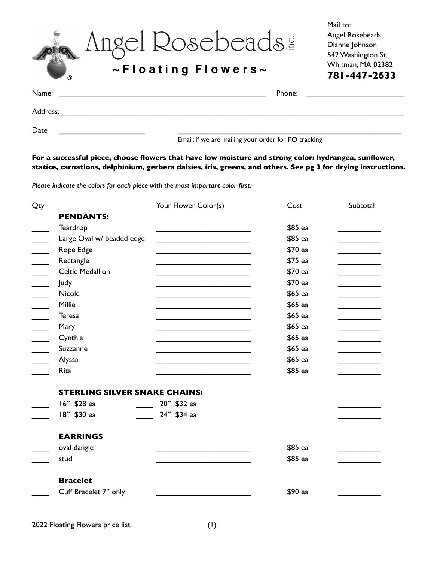| ®        | Angel Rosebeads!<br>$\sim$ Floating Flowers $\sim$ | Mail to:<br>Angel Rosebeads<br>Dianne Johnson<br>542 Washington St.<br>Whitman, MA 02382<br>781-447-2633 |
|----------|----------------------------------------------------|----------------------------------------------------------------------------------------------------------|
| Name:    | Phone:                                             |                                                                                                          |
| Address: |                                                    |                                                                                                          |
| Date     |                                                    |                                                                                                          |

Email: if we are mailing your order for PO tracking

#### **For a successful piece, choose flowers that have low moisture and strong color: hydrangea, sunflower, statice, carnations, delphinium, gerbera daisies, iris, greens, and others. See pg 3 for drying instructions.**

*Please indicate the colors for each piece with the most important color first.* 

| <b>PENDANTS:</b><br>Teardrop<br>\$85 ea<br>Large Oval w/ beaded edge<br>\$85 ea<br>Rope Edge<br>\$70 ea<br>Rectangle<br>\$75 ea<br><b>Celtic Medallion</b><br>\$70 ea<br>\$70 ea<br>Judy                                                                |  |
|---------------------------------------------------------------------------------------------------------------------------------------------------------------------------------------------------------------------------------------------------------|--|
|                                                                                                                                                                                                                                                         |  |
|                                                                                                                                                                                                                                                         |  |
|                                                                                                                                                                                                                                                         |  |
|                                                                                                                                                                                                                                                         |  |
|                                                                                                                                                                                                                                                         |  |
|                                                                                                                                                                                                                                                         |  |
|                                                                                                                                                                                                                                                         |  |
| Nicole<br>\$65 ea<br>the control of the control of the control of the control of the control of the control of                                                                                                                                          |  |
| Millie<br>\$65 ea                                                                                                                                                                                                                                       |  |
| <b>Teresa</b><br>\$65 ea                                                                                                                                                                                                                                |  |
| \$65 ea<br>Mary<br><u> 1980 - Johann John Stone, markin fan it fjort fan it fjort fan it fjort fan it fjort fan it fjort fan it fjort fan it fjort fan it fjort fan it fjort fan it fjort fan it fjort fan it fjort fan it fjort fan it fjort fan i</u> |  |
| Cynthia<br>\$65 ea                                                                                                                                                                                                                                      |  |
| \$65 ea<br>$\overline{\phantom{a}}$<br>Suzzanne                                                                                                                                                                                                         |  |
| Alyssa<br>\$65 ea                                                                                                                                                                                                                                       |  |
| Rita<br>\$85 ea                                                                                                                                                                                                                                         |  |
| <b>STERLING SILVER SNAKE CHAINS:</b>                                                                                                                                                                                                                    |  |
| 16" \$28 ea<br>20" \$32 ea                                                                                                                                                                                                                              |  |
| 18" \$30 ea<br>24" \$34 ea                                                                                                                                                                                                                              |  |
| <b>EARRINGS</b>                                                                                                                                                                                                                                         |  |
| \$85 ea<br>oval dangle                                                                                                                                                                                                                                  |  |
| \$85 ea<br>stud                                                                                                                                                                                                                                         |  |
|                                                                                                                                                                                                                                                         |  |
| <b>Bracelet</b>                                                                                                                                                                                                                                         |  |
| Cuff Bracelet 7" only<br>\$90 ea                                                                                                                                                                                                                        |  |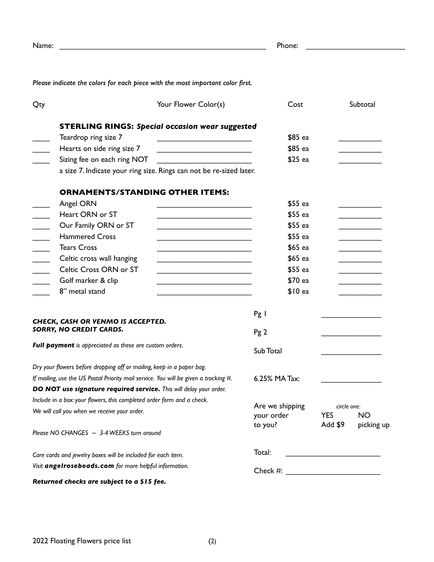| Name:                                                                                |                                                                                |                                                                                                                       | Phone:                          |           | <u> 1980 - Andrea Andrew Maria (h. 1980).</u> |
|--------------------------------------------------------------------------------------|--------------------------------------------------------------------------------|-----------------------------------------------------------------------------------------------------------------------|---------------------------------|-----------|-----------------------------------------------|
|                                                                                      | Please indicate the colors for each piece with the most important color first. |                                                                                                                       |                                 |           |                                               |
| Qty                                                                                  |                                                                                | Your Flower Color(s)                                                                                                  | Cost                            |           | Subtotal                                      |
|                                                                                      | <b>STERLING RINGS: Special occasion wear suggested</b>                         |                                                                                                                       |                                 |           |                                               |
|                                                                                      | Teardrop ring size 7                                                           |                                                                                                                       | \$85 ea                         |           |                                               |
|                                                                                      | Hearts on side ring size 7                                                     | <u> 1989 - Johann Barbara, martin amerikan basar dan berasal dalam basar dalam basar dalam basar dalam basar dala</u> | \$85 ea                         |           |                                               |
|                                                                                      | Sizing fee on each ring NOT                                                    |                                                                                                                       | $$25$ ea                        |           |                                               |
|                                                                                      | a size 7. Indicate your ring size. Rings can not be re-sized later.            |                                                                                                                       |                                 |           |                                               |
|                                                                                      | <b>ORNAMENTS/STANDING OTHER ITEMS:</b>                                         |                                                                                                                       |                                 |           |                                               |
|                                                                                      | Angel ORN                                                                      |                                                                                                                       | \$55 ea                         |           |                                               |
|                                                                                      | Heart ORN or ST                                                                | the contract of the contract of the contract of the contract of the contract of                                       | \$55 ea                         |           |                                               |
|                                                                                      | Our Family ORN or ST                                                           |                                                                                                                       | \$55 ea                         |           |                                               |
|                                                                                      | <b>Hammered Cross</b>                                                          |                                                                                                                       | \$55 ea                         |           |                                               |
|                                                                                      | <b>Tears Cross</b>                                                             |                                                                                                                       | \$65 ea                         |           |                                               |
|                                                                                      | Celtic cross wall hanging                                                      | the contract of the contract of the contract of the contract of the contract of                                       | \$65 ea                         |           |                                               |
|                                                                                      | Celtic Cross ORN or ST                                                         |                                                                                                                       | \$55 ea                         |           |                                               |
|                                                                                      | Golf marker & clip                                                             |                                                                                                                       | \$70 ea                         |           |                                               |
|                                                                                      | 8" metal stand                                                                 |                                                                                                                       | $$10$ ea                        |           |                                               |
|                                                                                      |                                                                                |                                                                                                                       | Pg I                            |           |                                               |
| CHECK, CASH OR VENMO IS ACCEPTED.<br>SORRY, NO CREDIT CARDS.                         |                                                                                |                                                                                                                       |                                 |           |                                               |
|                                                                                      |                                                                                |                                                                                                                       | Pg2                             |           |                                               |
| Full payment is appreciated as these are custom orders.                              |                                                                                |                                                                                                                       | Sub Total                       |           |                                               |
|                                                                                      | Dry your flowers before dropping off or mailing, keep in a paper bag.          |                                                                                                                       |                                 |           |                                               |
| If mailing, use the US Postal Priority mail service. You will be given a tracking #. |                                                                                |                                                                                                                       | 6.25% MA Tax:                   |           |                                               |
|                                                                                      | DO NOT use signature required service. This will delay your order.             |                                                                                                                       |                                 |           |                                               |
|                                                                                      | Include in a box: your flowers, this completed order form and a check.         |                                                                                                                       |                                 |           |                                               |
| We will call you when we receive your order.                                         |                                                                                | Are we shipping<br>your order                                                                                         | circle one:<br><b>YES</b>       | <b>NO</b> |                                               |
|                                                                                      |                                                                                |                                                                                                                       | to you?                         | Add \$9   | picking up                                    |
|                                                                                      | Please NO CHANGES $\sim$ 3-4 WEEKS turn around                                 |                                                                                                                       |                                 |           |                                               |
| Care cards and jewelry boxes will be included for each item.                         |                                                                                |                                                                                                                       | Total:                          |           |                                               |
| Visit angelrosebeads.com for more helpful information.                               |                                                                                |                                                                                                                       | Check #: $\qquad \qquad \qquad$ |           |                                               |
|                                                                                      | Returned checks are subject to a \$15 fee.                                     |                                                                                                                       |                                 |           |                                               |